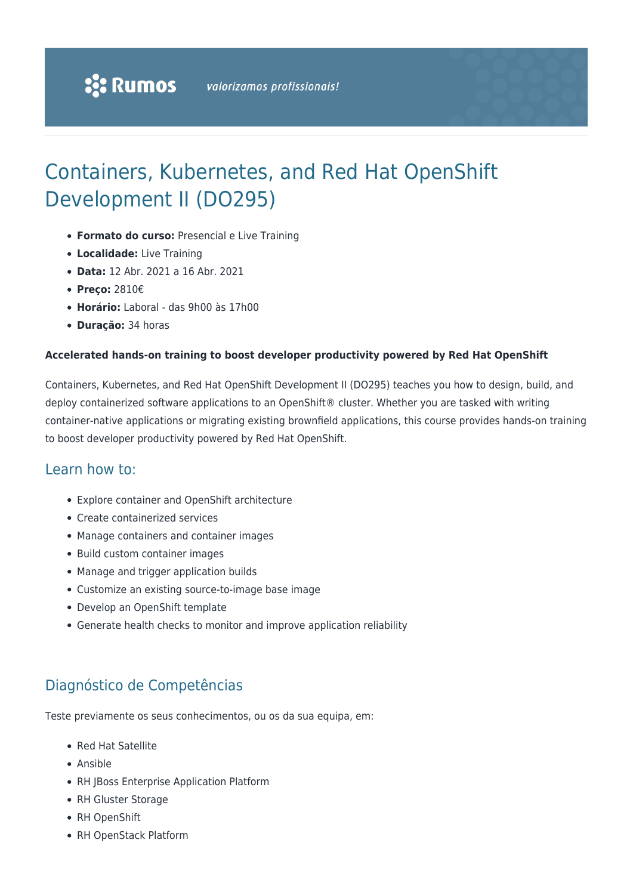# Containers, Kubernetes, and Red Hat OpenShift Development II (DO295)

- **Formato do curso:** Presencial e Live Training
- **Localidade:** Live Training
- **Data:** 12 Abr. 2021 a 16 Abr. 2021
- **Preço:** 2810€
- **Horário:** Laboral das 9h00 às 17h00
- **Duração:** 34 horas

#### **Accelerated hands-on training to boost developer productivity powered by Red Hat OpenShift**

Containers, Kubernetes, and Red Hat OpenShift Development II (DO295) teaches you how to design, build, and deploy containerized software applications to an OpenShift® cluster. Whether you are tasked with writing container-native applications or migrating existing brownfield applications, this course provides hands-on training to boost developer productivity powered by Red Hat OpenShift.

### Learn how to:

- Explore container and OpenShift architecture
- Create containerized services
- Manage containers and container images
- Build custom container images
- Manage and trigger application builds
- Customize an existing source-to-image base image
- Develop an OpenShift template
- Generate health checks to monitor and improve application reliability

### Diagnóstico de Competências

Teste previamente os seus conhecimentos, ou os da sua equipa, em:

- Red Hat Satellite
- Ansible
- RH JBoss Enterprise Application Platform
- RH Gluster Storage
- RH OpenShift
- RH OpenStack Platform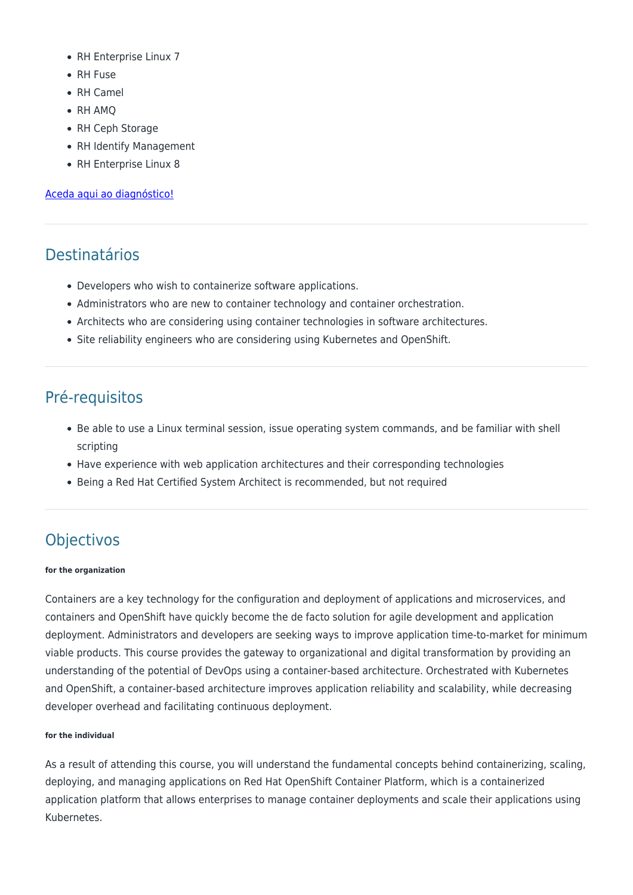- RH Enterprise Linux 7
- RH Fuse
- RH Camel
- RH AMQ
- RH Ceph Storage
- RH Identify Management
- RH Enterprise Linux 8

#### [Aceda aqui ao diagnóstico!](https://www.redhat.com/rhtapps/assessment/?partner=rumos)

## Destinatários

- Developers who wish to containerize software applications.
- Administrators who are new to container technology and container orchestration.
- Architects who are considering using container technologies in software architectures.
- Site reliability engineers who are considering using Kubernetes and OpenShift.

### Pré-requisitos

- Be able to use a Linux terminal session, issue operating system commands, and be familiar with shell scripting
- Have experience with web application architectures and their corresponding technologies
- Being a Red Hat Certified System Architect is recommended, but not required

## **Objectivos**

#### **for the organization**

Containers are a key technology for the configuration and deployment of applications and microservices, and containers and OpenShift have quickly become the de facto solution for agile development and application deployment. Administrators and developers are seeking ways to improve application time-to-market for minimum viable products. This course provides the gateway to organizational and digital transformation by providing an understanding of the potential of DevOps using a container-based architecture. Orchestrated with Kubernetes and OpenShift, a container-based architecture improves application reliability and scalability, while decreasing developer overhead and facilitating continuous deployment.

#### **for the individual**

As a result of attending this course, you will understand the fundamental concepts behind containerizing, scaling, deploying, and managing applications on Red Hat OpenShift Container Platform, which is a containerized application platform that allows enterprises to manage container deployments and scale their applications using Kubernetes.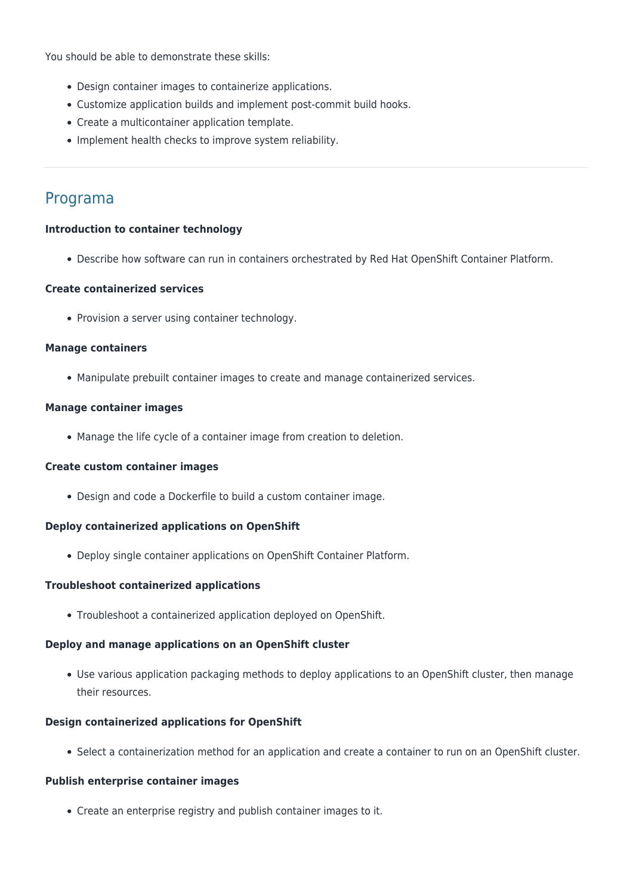You should be able to demonstrate these skills:

- Design container images to containerize applications.
- Customize application builds and implement post-commit build hooks.
- Create a multicontainer application template.
- Implement health checks to improve system reliability.

### Programa

#### **Introduction to container technology**

Describe how software can run in containers orchestrated by Red Hat OpenShift Container Platform.

#### **Create containerized services**

• Provision a server using container technology.

#### **Manage containers**

Manipulate prebuilt container images to create and manage containerized services.

#### **Manage container images**

Manage the life cycle of a container image from creation to deletion.

#### **Create custom container images**

Design and code a Dockerfile to build a custom container image.

#### **Deploy containerized applications on OpenShift**

Deploy single container applications on OpenShift Container Platform.

#### **Troubleshoot containerized applications**

Troubleshoot a containerized application deployed on OpenShift.

#### **Deploy and manage applications on an OpenShift cluster**

Use various application packaging methods to deploy applications to an OpenShift cluster, then manage their resources.

#### **Design containerized applications for OpenShift**

Select a containerization method for an application and create a container to run on an OpenShift cluster.

#### **Publish enterprise container images**

Create an enterprise registry and publish container images to it.